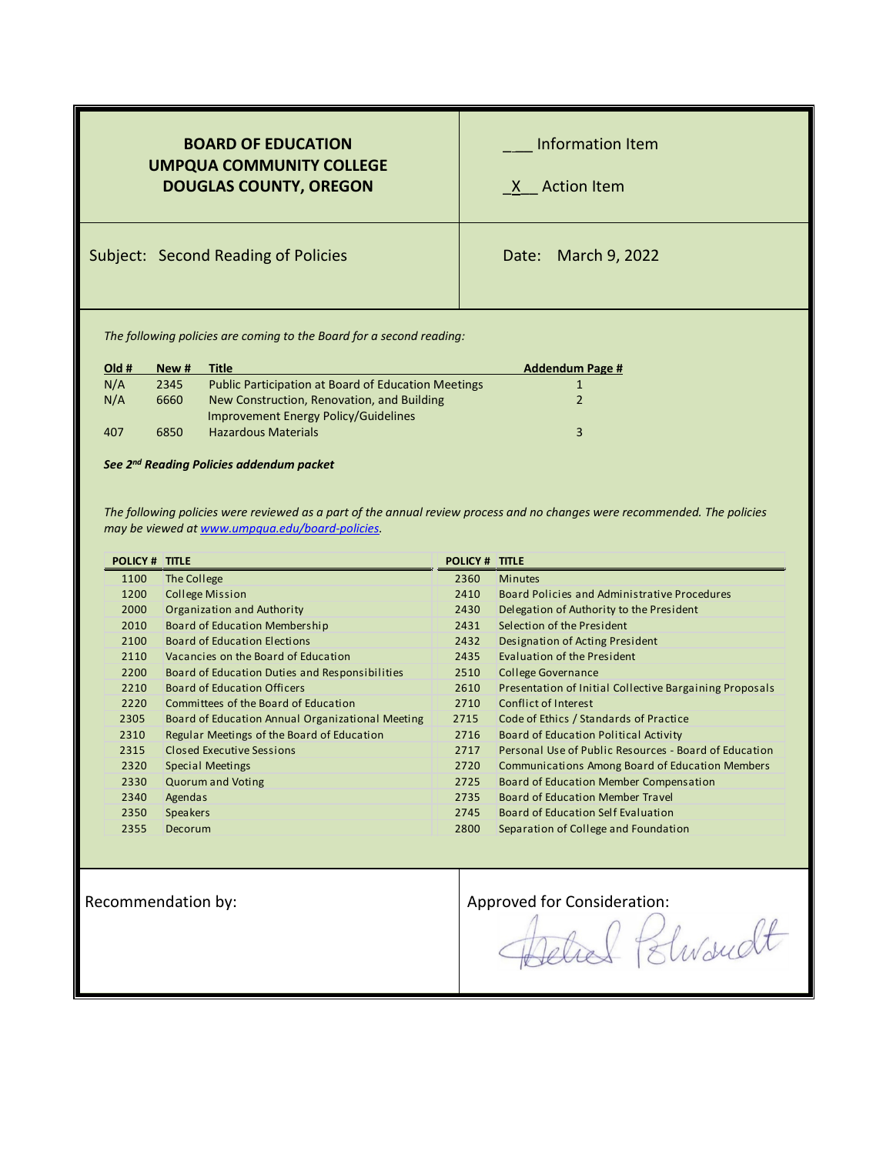| <b>BOARD OF EDUCATION</b><br><b>UMPQUA COMMUNITY COLLEGE</b><br><b>DOUGLAS COUNTY, OREGON</b> | Information Item<br>X Action Item |
|-----------------------------------------------------------------------------------------------|-----------------------------------|
| <b>Subject: Second Reading of Policies</b>                                                    | Date: March 9, 2022               |
|                                                                                               |                                   |

*The following policies are coming to the Board for a second reading:*

| New # | Title                                                      | <b>Addendum Page #</b> |
|-------|------------------------------------------------------------|------------------------|
| 2345  | <b>Public Participation at Board of Education Meetings</b> |                        |
| 6660  | New Construction, Renovation, and Building                 |                        |
|       | Improvement Energy Policy/Guidelines                       |                        |
| 6850  | <b>Hazardous Materials</b>                                 | 3                      |
|       |                                                            |                        |

*See 2nd Reading Policies addendum packet*

*The following policies were reviewed as a part of the annual review process and no changes were recommended. The policies may be viewed a[t www.umpqua.edu/board-policies.](file://umpqua.cc/dfsshares$/users$/robynne.wilgus/Board%20of%20Education/Green%20Sheets/www.umpqua.edu/board-policies)*

| <b>POLICY # TITLE</b> |                                                  | <b>POLICY # TITLE</b> |                                                         |
|-----------------------|--------------------------------------------------|-----------------------|---------------------------------------------------------|
| 1100                  | The College                                      | 2360                  | <b>Minutes</b>                                          |
| 1200                  | College Mission                                  | 2410                  | Board Policies and Administrative Procedures            |
| 2000                  | Organization and Authority                       | 2430                  | Delegation of Authority to the President                |
| 2010                  | Board of Education Membership                    | 2431                  | Selection of the President                              |
| 2100                  | <b>Board of Education Elections</b>              | 2432                  | Designation of Acting President                         |
| 2110                  | Vacancies on the Board of Education              | 2435                  | Evaluation of the President                             |
| 2200                  | Board of Education Duties and Responsibilities   | 2510                  | <b>College Governance</b>                               |
| 2210                  | Board of Education Officers                      | 2610                  | Presentation of Initial Collective Bargaining Proposals |
| 2220                  | Committees of the Board of Education             | 2710                  | Conflict of Interest                                    |
| 2305                  | Board of Education Annual Organizational Meeting | 2715                  | Code of Ethics / Standards of Practice                  |
| 2310                  | Regular Meetings of the Board of Education       | 2716                  | Board of Education Political Activity                   |
| 2315                  | Closed Executive Sessions                        | 2717                  | Personal Use of Public Resources - Board of Education   |
| 2320                  | <b>Special Meetings</b>                          | 2720                  | Communications Among Board of Education Members         |
| 2330                  | <b>Quorum and Voting</b>                         | 2725                  | Board of Education Member Compensation                  |
| 2340                  | Agendas                                          | 2735                  | Board of Education Member Travel                        |
| 2350                  | <b>Speakers</b>                                  | 2745                  | Board of Education Self Evaluation                      |
| 2355                  | Decorum                                          | 2800                  | Separation of College and Foundation                    |
|                       |                                                  |                       |                                                         |

Recommendation by:<br>Approved for Consideration:<br>Approved for Consideration:<br>Elward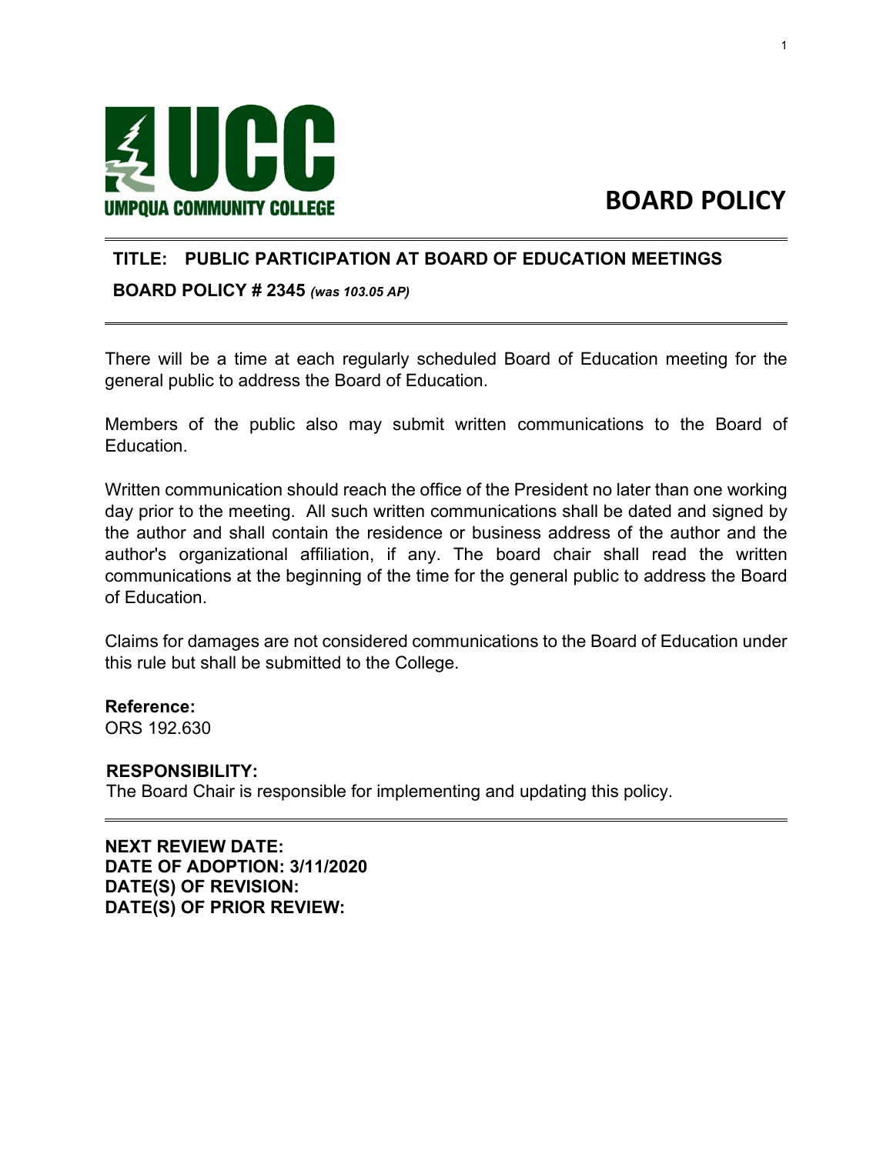<span id="page-1-0"></span>

# **BOARD POLICY**

### **TITLE: PUBLIC PARTICIPATION AT BOARD OF EDUCATION MEETINGS**

**BOARD POLICY # 2345** *(was 103.05 AP)*

There will be a time at each regularly scheduled Board of Education meeting for the general public to address the Board of Education.

Members of the public also may submit written communications to the Board of Education.

Written communication should reach the office of the President no later than one working day prior to the meeting. All such written communications shall be dated and signed by the author and shall contain the residence or business address of the author and the author's organizational affiliation, if any. The board chair shall read the written communications at the beginning of the time for the general public to address the Board of Education.

Claims for damages are not considered communications to the Board of Education under this rule but shall be submitted to the College.

**Reference:**  ORS 192.630

#### **RESPONSIBILITY:**

The Board Chair is responsible for implementing and updating this policy.

**NEXT REVIEW DATE: DATE OF ADOPTION: 3/11/2020 DATE(S) OF REVISION: DATE(S) OF PRIOR REVIEW:**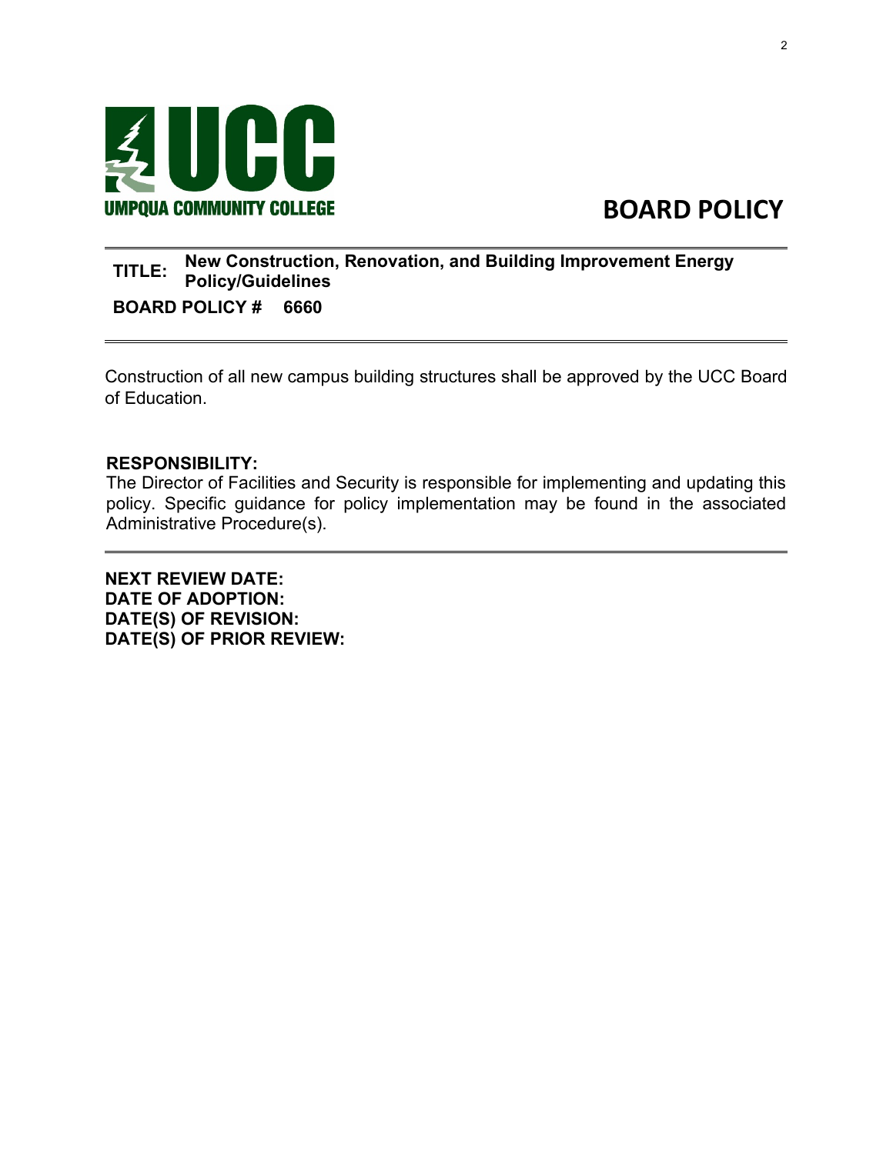<span id="page-2-0"></span>

# **BOARD POLICY**

### **TITLE: New Construction, Renovation, and Building Improvement Energy Policy/Guidelines**

**BOARD POLICY # 6660**

Construction of all new campus building structures shall be approved by the UCC Board of Education.

#### **RESPONSIBILITY:**

The Director of Facilities and Security is responsible for implementing and updating this policy. Specific guidance for policy implementation may be found in the associated Administrative Procedure(s).

**NEXT REVIEW DATE: DATE OF ADOPTION: DATE(S) OF REVISION: DATE(S) OF PRIOR REVIEW:**